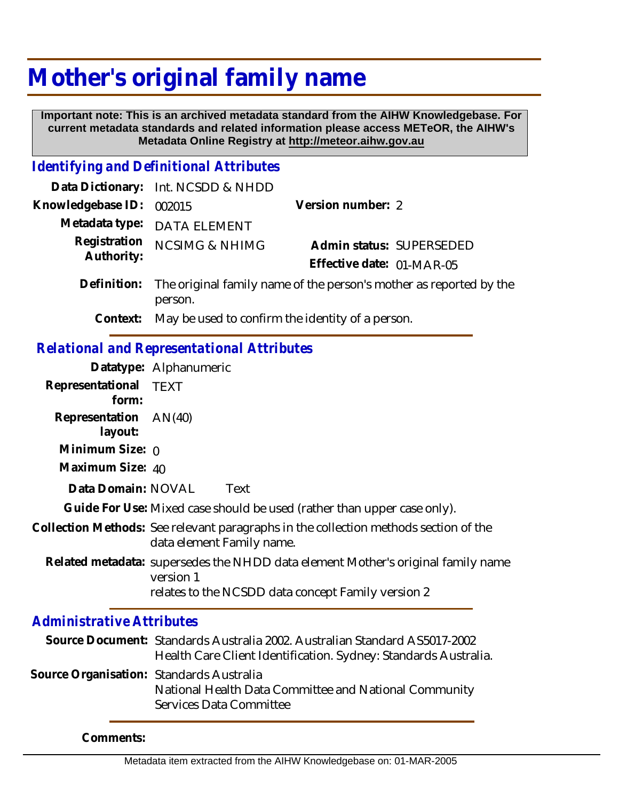## **Mother's original family name**

 **Important note: This is an archived metadata standard from the AIHW Knowledgebase. For current metadata standards and related information please access METeOR, the AIHW's Metadata Online Registry at http://meteor.aihw.gov.au**

## *Identifying and Definitional Attributes*

| Data Dictionary:                                                                     | Int. NCSDD & NHDD                                                                             |             |                                                                         |  |
|--------------------------------------------------------------------------------------|-----------------------------------------------------------------------------------------------|-------------|-------------------------------------------------------------------------|--|
| Knowledgebase ID:                                                                    | 002015                                                                                        |             | Version number: 2                                                       |  |
| Metadata type:                                                                       | <b>DATA ELEMENT</b>                                                                           |             |                                                                         |  |
| Registration                                                                         | <b>NCSIMG &amp; NHIMG</b>                                                                     |             | Admin status: SUPERSEDED                                                |  |
| Authority:                                                                           |                                                                                               |             | Effective date: 01-MAR-05                                               |  |
| Definition:                                                                          | The original family name of the person's mother as reported by the<br>person.                 |             |                                                                         |  |
| Context:                                                                             | May be used to confirm the identity of a person.                                              |             |                                                                         |  |
| <b>Relational and Representational Attributes</b>                                    |                                                                                               |             |                                                                         |  |
|                                                                                      | Datatype: Alphanumeric                                                                        |             |                                                                         |  |
| Representational<br>form:                                                            | <b>TEXT</b>                                                                                   |             |                                                                         |  |
| Representation<br>layout:                                                            | AN(40)                                                                                        |             |                                                                         |  |
| Minimum Size: 0                                                                      |                                                                                               |             |                                                                         |  |
| Maximum Size: 40                                                                     |                                                                                               |             |                                                                         |  |
| Data Domain: NOVAL                                                                   |                                                                                               | <b>Text</b> |                                                                         |  |
|                                                                                      |                                                                                               |             | Guide For Use: Mixed case should be used (rather than upper case only). |  |
| Collection Methods: See relevant paragraphs in the collection methods section of the | data element Family name.                                                                     |             |                                                                         |  |
|                                                                                      | Related metadata: supersedes the NHDD data element Mother's original family name<br>version 1 |             |                                                                         |  |
|                                                                                      |                                                                                               |             | relates to the NCSDD data concept Family version 2                      |  |
| <b>Administrative Attributes</b>                                                     |                                                                                               |             |                                                                         |  |
| Source Document: Standards Australia 2002. Australian Standard AS5017-2002           |                                                                                               |             | Health Care Client Identification. Sydney: Standards Australia.         |  |

Source Organisation: Standards Australia National Health Data Committee and National Community Services Data Committee

## **Comments:**